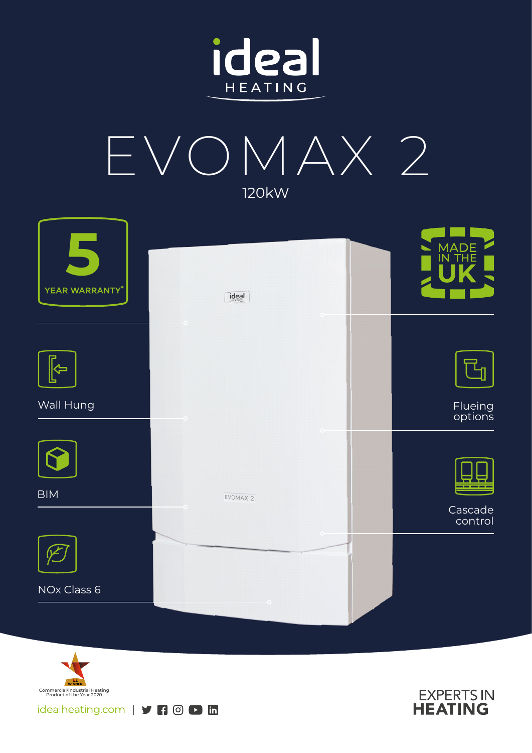



| YEAR WARRANTY*        | $\frac{1}{\text{ideal}}$ | MADE<br>IN THE     |
|-----------------------|--------------------------|--------------------|
|                       | $\circ$                  |                    |
| $\blacktriangleright$ |                          |                    |
| Wall Hung             |                          | Flueing<br>options |
|                       |                          |                    |
| <b>BIM</b>            | EVOMAX 2                 |                    |
|                       |                          | Cascade<br>control |
|                       |                          |                    |
| NOx Class 6           |                          |                    |
|                       |                          |                    |



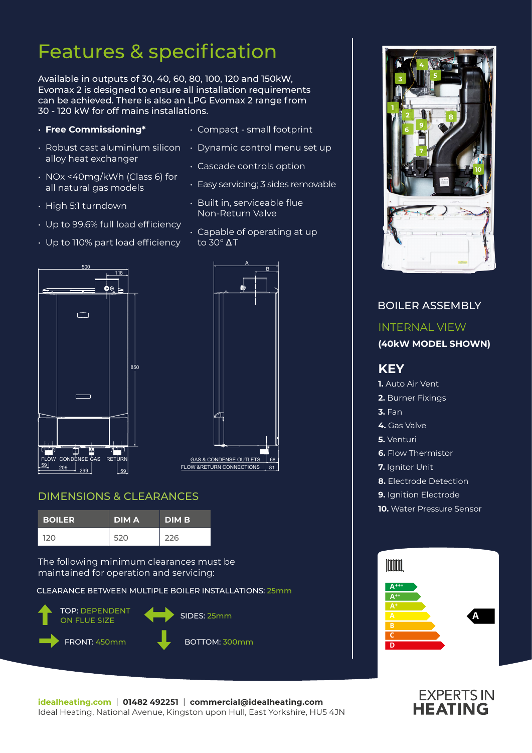# Features & specification

Available in outputs of 30, 40, 60, 80, 100, 120 and 150kW, Evomax 2 is designed to ensure all installation requirements can be achieved. There is also an LPG Evomax 2 range from 30 - 120 kW for off mains installations.

- **Free Commissioning\***
- alloy heat exchanger
- NOx <40mg/kWh (Class 6) for all natural gas models
- High 5:1 turndown
- Up to 99.6% full load efficiency
- Up to 110% part load efficiency
- Compact small footprint
- $\cdot$  Robust cast aluminium silicon  $\;\;\cdot\;$  Dynamic control menu set up
	- Cascade controls option
	- Easy servicing; 3 sides removable
	- Built in, serviceable flue Non-Return Valve
	- Capable of operating at up to 30° Δ T





# DIMENSIONS & CLEARANCES

| <b>BOILER</b> | <b>DIMA</b> | <b>DIM B.</b> |
|---------------|-------------|---------------|
| 120           | 520         | 226           |

The following minimum clearances must be maintained for operation and servicing:

CLEARANCE BETWEEN MULTIPLE BOILER INSTALLATIONS: 25mm





# BOILER ASSEMBLY INTERNAL VIEW **(40kW MODEL SHOWN) KEY 1.** Auto Air Vent **2.** Burner Fixings **3.** Fan **4.** Gas Valve **5.** Venturi **6.** Flow Thermistor **7.** Ianitor Unit **8.** Electrode Detection **9.** Ignition Electrode **10.** Water Pressure Sensor Imm **A+++ A++**

**A**

**C D**



# **EXPERTS IN**<br>**HEATING**

**A**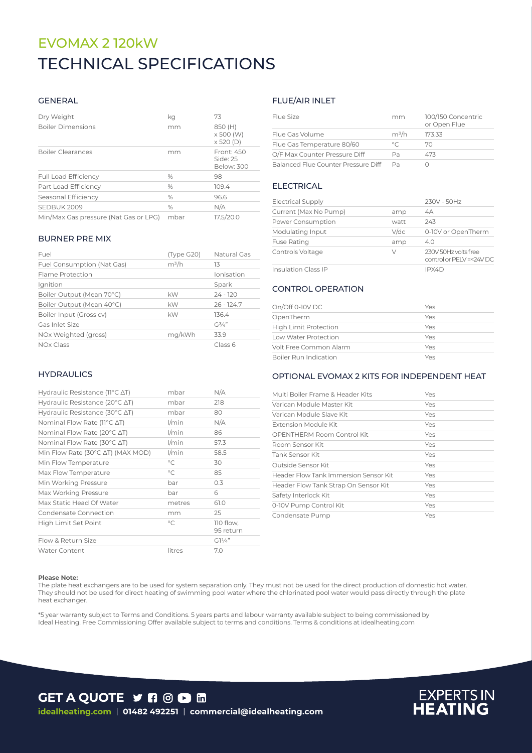# TECHNICAL SPECIFICATIONS TECHNICAL SPECIFICATIONSEVOMAX 2 120kW

#### GENERAL

| Dry Weight<br><b>Boiler Dimensions</b> | kq<br>mm      | 73<br>850 (H)<br>x 500 (W)<br>$\times$ 520 (D) |
|----------------------------------------|---------------|------------------------------------------------|
| <b>Boiler Clearances</b>               | mm            | Front: 450<br>Side $-25$<br>Below: 300         |
| <b>Full Load Efficiency</b>            | %             | 98                                             |
| Part Load Efficiency                   | %             | 109.4                                          |
| Seasonal Efficiency                    | %             | 96.6                                           |
| SEDBUK 2009                            | $\frac{0}{0}$ | N/A                                            |
| Min/Max Gas pressure (Nat Gas or LPG)  | mbar          | 17.5/20.0                                      |

#### BURNER PRE MIX

| Fuel                       | (Type G20) | Natural Gas  |
|----------------------------|------------|--------------|
| Fuel Consumption (Nat Gas) | $m^3/h$    | 13           |
| Flame Protection           |            | Ionisation   |
| Ignition                   |            | Spark        |
| Boiler Output (Mean 70°C)  | kW         | $24 - 120$   |
| Boiler Output (Mean 40°C)  | kW         | $26 - 124.7$ |
| Boiler Input (Gross cv)    | kW         | 136.4        |
| Gas Inlet Size             |            | $G^{3/2}$    |
| NOx Weighted (gross)       | mg/kWh     | 33.9         |
| NOx Class                  |            | Class 6      |

#### **HYDRAULICS**

| <b>Water Content</b>                                | litres       | 7.0                    |
|-----------------------------------------------------|--------------|------------------------|
| Flow & Return Size                                  |              | $G1\frac{1}{4}$        |
| High Limit Set Point                                | $\circ$ C    | 110 flow,<br>95 return |
| Condensate Connection                               | mm           | 25                     |
| Max Static Head Of Water                            | metres       | 61.0                   |
| Max Working Pressure                                | bar          | 6                      |
| Min Working Pressure                                | bar          | 0.3                    |
| Max Flow Temperature                                | $^{\circ}$ C | 85                     |
| Min Flow Temperature                                | $^{\circ}$ C | 30                     |
| Min Flow Rate (30°C ∆T) (MAX MOD)                   | l/min        | 58.5                   |
| Nominal Flow Rate (30°C ∆T)                         | $1/m$ in     | 57.3                   |
| Nominal Flow Rate (20°C ∆T)                         | $1/m$ in     | 86                     |
| Nominal Flow Rate (11°C ∆T)                         | $1/m$ in     | N/A                    |
| Hydraulic Resistance (30 $\degree$ C $\triangle$ T) | mbar         | 80                     |
| Hydraulic Resistance (20 $\degree$ C $\triangle$ T) | mbar         | 218                    |
| Hydraulic Resistance (11°C ∆T)                      | mbar         | N/A                    |

# FLUE/AIR INLET

| Flue Size                           | mm      | 100/150 Concentric<br>or Open Flue |
|-------------------------------------|---------|------------------------------------|
| Flue Gas Volume                     | $m^3/h$ | 173.33                             |
| Flue Gas Temperature 80/60          | $\circ$ | 70                                 |
| O/F Max Counter Pressure Diff       | Pa      | 473                                |
| Balanced Flue Counter Pressure Diff | Da      |                                    |

#### ELECTRICAL

| <b>Electrical Supply</b>   |         | 230V - 50Hz                                     |
|----------------------------|---------|-------------------------------------------------|
| Current (Max No Pump)      | amp     | 4A                                              |
| Power Consumption          | watt    | 243                                             |
| Modulating Input           | $V$ /dc | 0-10V or OpenTherm                              |
| <b>Fuse Rating</b>         | amp     | 4.0                                             |
| Controls Voltage           | V       | 230V 50Hz volts free<br>control or PELV=<24V DC |
| <b>Insulation Class IP</b> |         | IPX4D                                           |

# CONTROL OPERATION

| On/Off 0-10V DC              | Yes |
|------------------------------|-----|
| OpenTherm                    | Yes |
| <b>High Limit Protection</b> | Yes |
| Low Water Protection         | Yes |
| Volt Free Common Alarm       | Yes |
| Boiler Run Indication        | Yes |

#### OPTIONAL EVOMAX 2 KITS FOR INDEPENDENT HEAT

| Multi Boiler Frame & Header Kits      | Yes |
|---------------------------------------|-----|
| Varican Module Master Kit             | Yes |
| Varican Module Slave Kit              | Yes |
| Extension Module Kit                  | Yes |
| OPENTHERM Room Control Kit            | Yes |
| Room Sensor Kit                       | Yes |
| Tank Sensor Kit                       | Yes |
| Outside Sensor Kit                    | Yes |
| Header Flow Tank Immersion Sensor Kit | Yes |
| Header Flow Tank Strap On Sensor Kit  | Yes |
| Safety Interlock Kit                  | Yes |
| 0-10V Pump Control Kit                | Yes |
| Condensate Pump                       | Yes |

#### **Please Note:**

The plate heat exchangers are to be used for system separation only. They must not be used for the direct production of domestic hot water. They should not be used for direct heating of swimming pool water where the chlorinated pool water would pass directly through the plate heat exchanger.

\*5 year warranty subject to Terms and Conditions. 5 years parts and labour warranty available subject to being commissioned by Ideal Heating. Free Commissioning Offer available subject to terms and conditions. Terms & conditions at idealheating.com